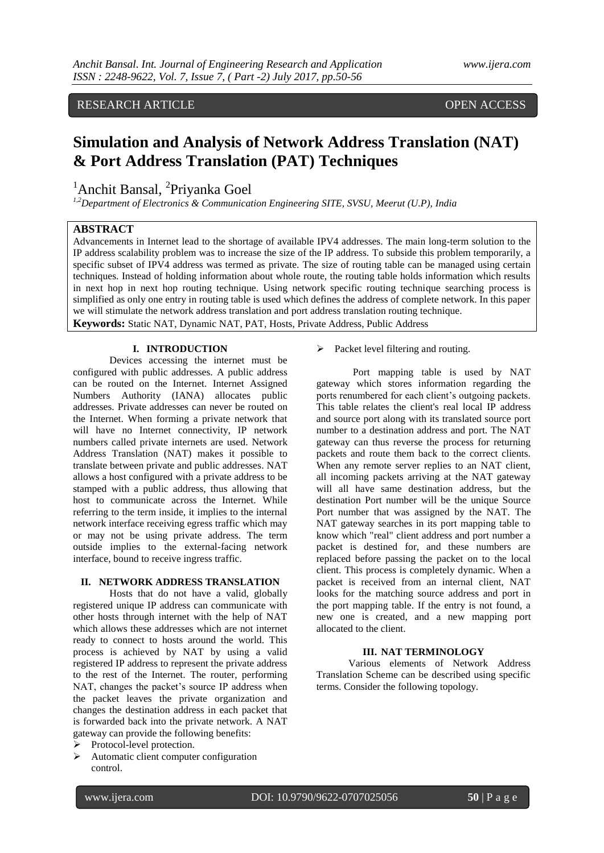# RESEARCH ARTICLE OPEN ACCESS

# **Simulation and Analysis of Network Address Translation (NAT) & Port Address Translation (PAT) Techniques**

<sup>1</sup>Anchit Bansal, <sup>2</sup>Priyanka Goel

*1,2Department of Electronics & Communication Engineering SITE, SVSU, Meerut (U.P), India*

# **ABSTRACT**

Advancements in Internet lead to the shortage of available IPV4 addresses. The main long-term solution to the IP address scalability problem was to increase the size of the IP address. To subside this problem temporarily, a specific subset of IPV4 address was termed as private. The size of routing table can be managed using certain techniques. Instead of holding information about whole route, the routing table holds information which results in next hop in next hop routing technique. Using network specific routing technique searching process is simplified as only one entry in routing table is used which defines the address of complete network. In this paper we will stimulate the network address translation and port address translation routing technique.

**Keywords:** Static NAT, Dynamic NAT, PAT, Hosts, Private Address, Public Address

# **I. INTRODUCTION**

Devices accessing the internet must be configured with public addresses. A public address can be routed on the Internet. Internet Assigned Numbers Authority (IANA) allocates public addresses. Private addresses can never be routed on the Internet. When forming a private network that will have no Internet connectivity, IP network numbers called private internets are used. Network Address Translation (NAT) makes it possible to translate between private and public addresses. NAT allows a host configured with a private address to be stamped with a public address, thus allowing that host to communicate across the Internet. While referring to the term inside, it implies to the internal network interface receiving egress traffic which may or may not be using private address. The term outside implies to the external-facing network interface, bound to receive ingress traffic.

#### **II. NETWORK ADDRESS TRANSLATION**

Hosts that do not have a valid, globally registered unique IP address can communicate with other hosts through internet with the help of NAT which allows these addresses which are not internet ready to connect to hosts around the world. This process is achieved by NAT by using a valid registered IP address to represent the private address to the rest of the Internet. The router, performing NAT, changes the packet's source IP address when the packet leaves the private organization and changes the destination address in each packet that is forwarded back into the private network. A NAT gateway can provide the following benefits:

- Protocol-level protection.
- $\triangleright$  Automatic client computer configuration control.

 $\triangleright$  Packet level filtering and routing.

Port mapping table is used by NAT gateway which stores information regarding the ports renumbered for each client's outgoing packets. This table relates the client's real local IP address and source port along with its translated source port number to a destination address and port. The NAT gateway can thus reverse the process for returning packets and route them back to the correct clients. When any remote server replies to an NAT client, all incoming packets arriving at the NAT gateway will all have same destination address, but the destination Port number will be the unique Source Port number that was assigned by the NAT. The NAT gateway searches in its port mapping table to know which "real" client address and port number a packet is destined for, and these numbers are replaced before passing the packet on to the local client. This process is completely dynamic. When a packet is received from an internal client, NAT looks for the matching source address and port in the port mapping table. If the entry is not found, a new one is created, and a new mapping port allocated to the client.

#### **III. NAT TERMINOLOGY**

Various elements of Network Address Translation Scheme can be described using specific terms. Consider the following topology.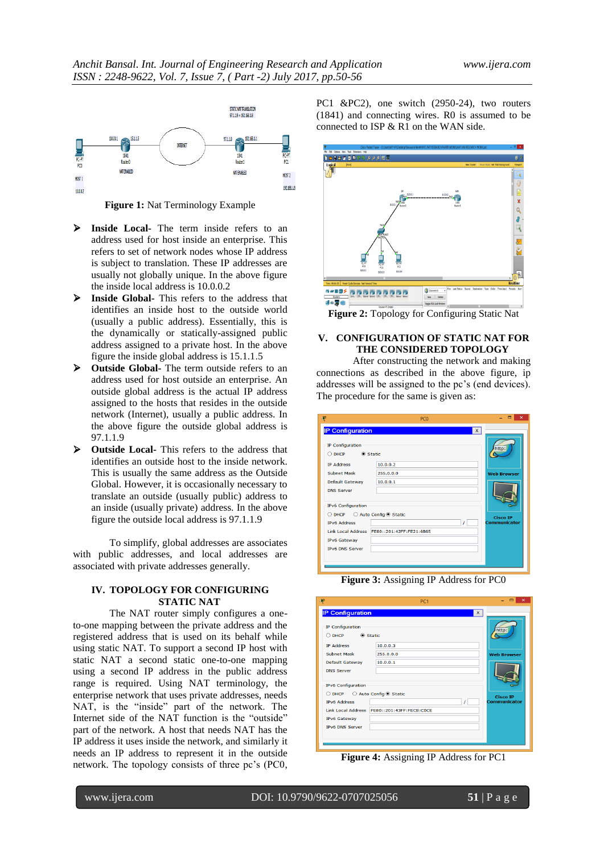

**Figure 1:** Nat Terminology Example

- **Inside Local-** The term inside refers to an address used for host inside an enterprise. This refers to set of network nodes whose IP address is subject to translation. These IP addresses are usually not globally unique. In the above figure the inside local address is 10.0.0.2
- **Inside Global-** This refers to the address that identifies an inside host to the outside world (usually a public address). Essentially, this is the dynamically or statically-assigned public address assigned to a private host. In the above figure the inside global address is 15.1.1.5
- **Outside Global-** The term outside refers to an address used for host outside an enterprise. An outside global address is the actual IP address assigned to the hosts that resides in the outside network (Internet), usually a public address. In the above figure the outside global address is 97.1.1.9
- **Outside Local-** This refers to the address that identifies an outside host to the inside network. This is usually the same address as the Outside Global. However, it is occasionally necessary to translate an outside (usually public) address to an inside (usually private) address. In the above figure the outside local address is 97.1.1.9

To simplify, global addresses are associates with public addresses, and local addresses are associated with private addresses generally.

#### **IV. TOPOLOGY FOR CONFIGURING STATIC NAT**

The NAT router simply configures a oneto-one mapping between the private address and the registered address that is used on its behalf while using static NAT. To support a second IP host with static NAT a second static one-to-one mapping using a second IP address in the public address range is required. Using NAT terminology, the enterprise network that uses private addresses, needs NAT, is the "inside" part of the network. The Internet side of the NAT function is the "outside" part of the network. A host that needs NAT has the IP address it uses inside the network, and similarly it needs an IP address to represent it in the outside network. The topology consists of three pc's (PC0, PC1 &PC2), one switch (2950-24), two routers (1841) and connecting wires. R0 is assumed to be connected to ISP & R1 on the WAN side.



**Figure 2:** Topology for Configuring Static Nat

# **V. CONFIGURATION OF STATIC NAT FOR THE CONSIDERED TOPOLOGY**

After constructing the network and making connections as described in the above figure, ip addresses will be assigned to the pc's (end devices). The procedure for the same is given as:

| P                                                                                                                     | PC <sub>0</sub>                                                                       | п<br>$\boldsymbol{\times}$      |
|-----------------------------------------------------------------------------------------------------------------------|---------------------------------------------------------------------------------------|---------------------------------|
| <b>IP Configuration</b>                                                                                               | $\bar{x}$                                                                             |                                 |
| IP Configuration<br><b>DHCP</b><br>∩                                                                                  | C Static                                                                              | http:                           |
| <b>IP Address</b>                                                                                                     | 10.0.0.2                                                                              |                                 |
| <b>Subnet Mask</b>                                                                                                    | 255.0.0.0                                                                             | <b>Web Browser</b>              |
| Default Gateway                                                                                                       | 10.0.0.1                                                                              |                                 |
| <b>DNS Server</b>                                                                                                     |                                                                                       |                                 |
| <b>IPv6 Configuration</b><br><b>DHCP</b><br>Ω<br><b>IPv6 Address</b><br><b>IPv6 Gateway</b><br><b>IPv6 DNS Server</b> | ○ Auto Config <sup>●</sup> Static<br>T<br>Link Local Address FE80::201:42FF:FE21:6B65 | <b>Cisco IP</b><br>Communicator |

**Figure 3:** Assigning IP Address for PC0

| Ŗ                                                                                                              | PC <sub>1</sub>                      | ▭<br>$\times$                          |
|----------------------------------------------------------------------------------------------------------------|--------------------------------------|----------------------------------------|
| <b>IP Configuration</b><br>IP Configuration<br>◉ Static<br>$\bigcirc$ DHCP                                     | X.                                   | http:                                  |
| <b>IP Address</b><br>Subnet Mask<br><b>Default Gateway</b><br><b>DNS Server</b>                                | 10.0.0.3<br>255.0.0.0<br>10.0.0.1    | <b>Web Browser</b>                     |
| <b>IPv6 Configuration</b><br>○ DHCP ○ Auto Config ● Static<br><b>IPv6 Address</b><br><b>Link Local Address</b> | $\prime$<br>FE80::201:43FF:FECB:COCE | <b>Cisco IP</b><br><b>Communicator</b> |
| <b>IPv6 Gateway</b><br><b>IPv6 DNS Server</b>                                                                  |                                      |                                        |

**Figure 4:** Assigning IP Address for PC1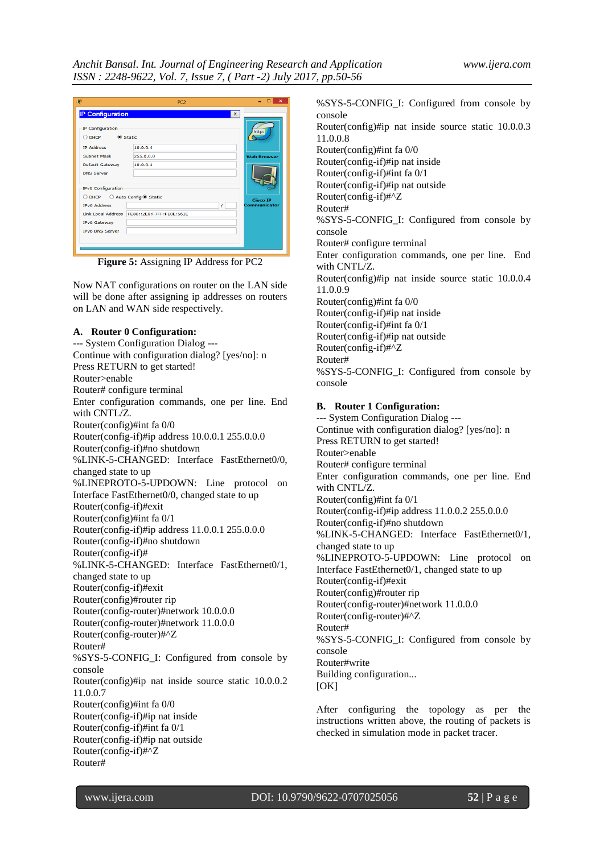| Ŗ                                                       | PC <sub>2</sub>                   | ▭<br>$\times$       |
|---------------------------------------------------------|-----------------------------------|---------------------|
| <b>IP Configuration</b>                                 | X                                 |                     |
| IP Configuration<br><b>●</b> Static<br><b>DHCP</b><br>O |                                   | http:               |
| <b>IP Address</b>                                       | 10.0.0.4                          |                     |
| <b>Subnet Mask</b>                                      | 255.0.0.0                         | <b>Web Browser</b>  |
| <b>Default Gateway</b>                                  | 10.0.0.1                          |                     |
| <b>DNS Server</b>                                       |                                   |                     |
| <b>IPv6 Configuration</b>                               |                                   |                     |
| O DHCP                                                  | ○ Auto Config <sup>●</sup> Static | <b>Cisco IP</b>     |
| <b>IPv6 Address</b>                                     | 1                                 | <b>Communicator</b> |
| <b>Link Local Address</b>                               | FE80::2E0:F7FF:FE0E:561E          |                     |
| <b>IPv6 Gateway</b>                                     |                                   |                     |
| <b>IPv6 DNS Server</b>                                  |                                   |                     |
|                                                         |                                   |                     |

**Figure 5:** Assigning IP Address for PC2

Now NAT configurations on router on the LAN side will be done after assigning ip addresses on routers on LAN and WAN side respectively.

#### **A. Router 0 Configuration:**

--- System Configuration Dialog --- Continue with configuration dialog? [yes/no]: n Press RETURN to get started! Router>enable Router# configure terminal Enter configuration commands, one per line. End with CNTL/Z. Router(config)#int fa 0/0 Router(config-if)#ip address 10.0.0.1 255.0.0.0 Router(config-if)#no shutdown %LINK-5-CHANGED: Interface FastEthernet0/0, changed state to up %LINEPROTO-5-UPDOWN: Line protocol on Interface FastEthernet0/0, changed state to up Router(config-if)#exit Router(config)#int fa 0/1 Router(config-if)#ip address 11.0.0.1 255.0.0.0 Router(config-if)#no shutdown Router(config-if)# %LINK-5-CHANGED: Interface FastEthernet0/1, changed state to up Router(config-if)#exit Router(config)#router rip Router(config-router)#network 10.0.0.0 Router(config-router)#network 11.0.0.0 Router(config-router)#^Z Router# %SYS-5-CONFIG\_I: Configured from console by console Router(config)#ip nat inside source static 10.0.0.2 11.0.0.7 Router(config)#int fa 0/0 Router(config-if)#ip nat inside Router(config-if)#int fa 0/1 Router(config-if)#ip nat outside Router(config-if)#^Z Router#

%SYS-5-CONFIG\_I: Configured from console by console Router(config)#ip nat inside source static 10.0.0.3 11.0.0.8 Router(config)#int fa 0/0 Router(config-if)#ip nat inside Router(config-if)#int fa 0/1 Router(config-if)#ip nat outside Router(config-if)#^Z Router# %SYS-5-CONFIG\_I: Configured from console by console Router# configure terminal Enter configuration commands, one per line. End with CNTL/Z. Router(config)#ip nat inside source static 10.0.0.4 11.0.0.9 Router(config)#int fa 0/0 Router(config-if)#ip nat inside Router(config-if)#int fa 0/1 Router(config-if)#ip nat outside Router(config-if)#^Z Router# %SYS-5-CONFIG\_I: Configured from console by console

# **B. Router 1 Configuration:**

--- System Configuration Dialog --- Continue with configuration dialog? [yes/no]: n Press RETURN to get started! Router>enable Router# configure terminal Enter configuration commands, one per line. End with CNTL/Z. Router(config)#int fa 0/1 Router(config-if)#ip address 11.0.0.2 255.0.0.0 Router(config-if)#no shutdown %LINK-5-CHANGED: Interface FastEthernet0/1, changed state to up %LINEPROTO-5-UPDOWN: Line protocol on Interface FastEthernet0/1, changed state to up Router(config-if)#exit Router(config)#router rip Router(config-router)#network 11.0.0.0 Router(config-router)#^Z Router# %SYS-5-CONFIG\_I: Configured from console by console Router#write Building configuration...  $[OK]$ 

After configuring the topology as per the instructions written above, the routing of packets is checked in simulation mode in packet tracer.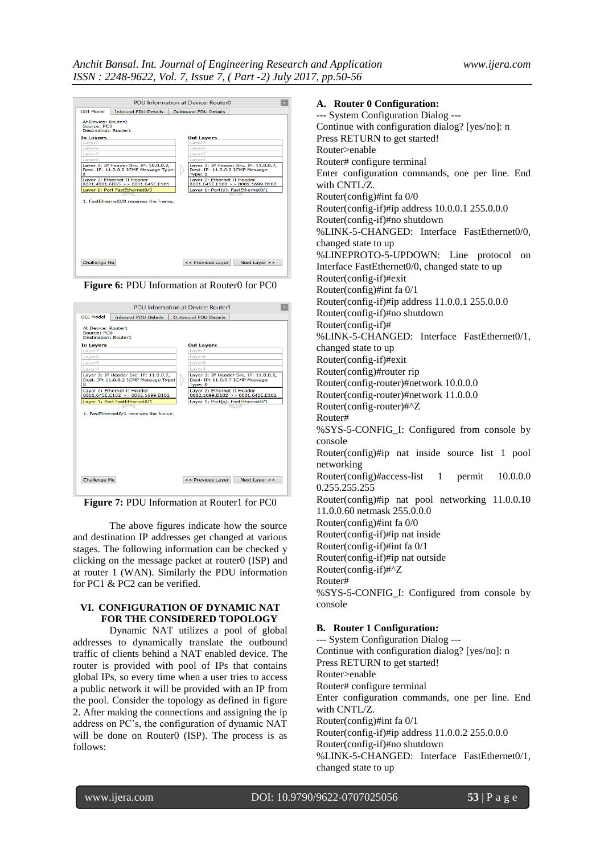|                                                                  |                                                                                | <b>PDU Information at Device: Router0</b>                                           |
|------------------------------------------------------------------|--------------------------------------------------------------------------------|-------------------------------------------------------------------------------------|
| <b>OSI Model</b>                                                 | <b>Inbound PDU Details</b>                                                     | <b>Outbound PDU Details</b>                                                         |
| At Device: Router0<br>Source: PC0<br><b>Destination: Router1</b> |                                                                                |                                                                                     |
| In Layers                                                        |                                                                                | <b>Out Layers</b>                                                                   |
| Layer7                                                           |                                                                                | Layer7                                                                              |
| Layer6                                                           |                                                                                | Layer6                                                                              |
| Layer5                                                           |                                                                                | Layer5                                                                              |
| Laver4                                                           |                                                                                | Laver4                                                                              |
| 8                                                                | Layer 3: IP Header Src. IP: 10.0.0.2,<br>Dest. IP: 11.0.0.2 ICMP Message Type: | Layer 3: IP Header Src. IP: 11.0.0.7,<br>Dest. IP: 11.0.0.2 ICMP Message<br>Type: 8 |
|                                                                  | Laver 2: Ethernet II Header                                                    | Laver 2: Ethernet II Header                                                         |
|                                                                  | $0001.4221.6B65$ >> $0001.645E.E101$                                           | 0001.645E.E102 > 0002.1699.B102                                                     |
|                                                                  | Laver 1: Port FastEthernet0/0                                                  | Laver 1: Port(s): FastEthernet0/1                                                   |
|                                                                  | 1. FastEthernet0/0 receives the frame.                                         |                                                                                     |
| Challenge Me                                                     |                                                                                | << Previous Laver<br>Next Laver $>>$                                                |

**Figure 6:** PDU Information at Router0 for PC0

| <b>PDU Information at Device: Router1</b>                        |                                                                                |  |                                                                                     |
|------------------------------------------------------------------|--------------------------------------------------------------------------------|--|-------------------------------------------------------------------------------------|
| <b>OSI Model</b>                                                 | <b>Inbound PDU Details</b>                                                     |  | Outbound PDU Details                                                                |
| At Device: Router1<br>Source: PCO<br><b>Destination: Router1</b> |                                                                                |  |                                                                                     |
| In Layers                                                        |                                                                                |  | <b>Out Layers</b>                                                                   |
| Laver7                                                           |                                                                                |  | Laver7                                                                              |
| Layer6                                                           |                                                                                |  | Laver <sub>6</sub>                                                                  |
| Layer5                                                           |                                                                                |  | Layer5                                                                              |
| Layer4                                                           |                                                                                |  | Layer4                                                                              |
| 8                                                                | Layer 3: IP Header Src. IP: 11.0.0.7,<br>Dest. IP: 11.0.0.2 ICMP Message Type: |  | Layer 3: IP Header Src. IP: 11.0.0.2,<br>Dest. IP: 11.0.0.7 ICMP Message<br>Type: 0 |
|                                                                  | Layer 2: Ethernet II Header<br>0001.645E.E102 >> 0002.1699.B102                |  | Layer 2: Ethernet II Header<br>0002.1699.B102 >> 0001.645E.E102                     |
|                                                                  | Laver 1: Port FastEthernet0/1                                                  |  | Laver 1: Port(s): FastEthernet0/1                                                   |
|                                                                  |                                                                                |  |                                                                                     |
|                                                                  | 1. FastEthernet0/1 receives the frame.                                         |  |                                                                                     |
| Challenge Me                                                     |                                                                                |  | Next Layer >><br>$<<$ Previous Laver                                                |

**Figure 7:** PDU Information at Router1 for PC0

The above figures indicate how the source and destination IP addresses get changed at various stages. The following information can be checked y clicking on the message packet at router0 (ISP) and at router 1 (WAN). Similarly the PDU information for PC1 & PC2 can be verified.

### **VI. CONFIGURATION OF DYNAMIC NAT FOR THE CONSIDERED TOPOLOGY**

Dynamic NAT utilizes a pool of global addresses to dynamically translate the outbound traffic of clients behind a NAT enabled device. The router is provided with pool of IPs that contains global IPs, so every time when a user tries to access a public network it will be provided with an IP from the pool. Consider the topology as defined in figure 2. After making the connections and assigning the ip address on PC's, the configuration of dynamic NAT will be done on Router0 (ISP). The process is as follows:

#### **A. Router 0 Configuration:**

--- System Configuration Dialog --- Continue with configuration dialog? [yes/no]: n Press RETURN to get started! Router>enable Router# configure terminal Enter configuration commands, one per line. End with CNTL/Z. Router(config)#int fa 0/0 Router(config-if)#ip address 10.0.0.1 255.0.0.0 Router(config-if)#no shutdown %LINK-5-CHANGED: Interface FastEthernet0/0, changed state to up %LINEPROTO-5-UPDOWN: Line protocol on Interface FastEthernet0/0, changed state to up Router(config-if)#exit Router(config)#int fa 0/1 Router(config-if)#ip address 11.0.0.1 255.0.0.0 Router(config-if)#no shutdown Router(config-if)# %LINK-5-CHANGED: Interface FastEthernet0/1, changed state to up Router(config-if)#exit Router(config)#router rip Router(config-router)#network 10.0.0.0 Router(config-router)#network 11.0.0.0 Router(config-router)#^Z Router# %SYS-5-CONFIG\_I: Configured from console by console Router(config)#ip nat inside source list 1 pool networking Router(config)#access-list 1 permit 10.0.0.0 0.255.255.255 Router(config)#ip nat pool networking 11.0.0.10 11.0.0.60 netmask 255.0.0.0 Router(config)#int fa 0/0 Router(config-if)#ip nat inside Router(config-if)#int fa 0/1 Router(config-if)#ip nat outside Router(config-if)#^Z Router# %SYS-5-CONFIG\_I: Configured from console by console **B. Router 1 Configuration:** --- System Configuration Dialog ---

Continue with configuration dialog? [yes/no]: n Press RETURN to get started! Router>enable Router# configure terminal Enter configuration commands, one per line. End with CNTL/Z. Router(config)#int fa 0/1 Router(config-if)#ip address 11.0.0.2 255.0.0.0 Router(config-if)#no shutdown %LINK-5-CHANGED: Interface FastEthernet0/1, changed state to up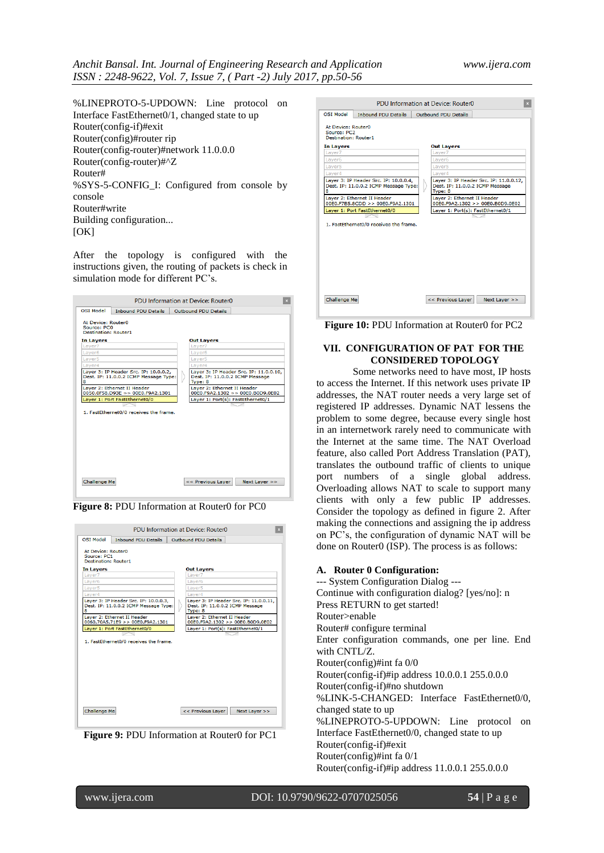%LINEPROTO-5-UPDOWN: Line protocol on Interface FastEthernet0/1, changed state to up Router(config-if)#exit Router(config)#router rip Router(config-router)#network 11.0.0.0 Router(config-router)#^Z Router# %SYS-5-CONFIG I: Configured from console by console Router#write Building configuration...  $[OK]$ 

After the topology is configured with the instructions given, the routing of packets is check in simulation mode for different PC's.

| PDU Information at Device: Router0<br>×                          |                                                                                |  |                                                                                      |
|------------------------------------------------------------------|--------------------------------------------------------------------------------|--|--------------------------------------------------------------------------------------|
| OST Model                                                        | <b>Inbound PDU Details</b>                                                     |  | Outbound PDU Details                                                                 |
| At Device: Router0<br>Source: PCO<br><b>Destination: Router1</b> |                                                                                |  |                                                                                      |
| In Layers                                                        |                                                                                |  | <b>Out Layers</b>                                                                    |
| Laver7                                                           |                                                                                |  | Layer7                                                                               |
| Layer <sub>6</sub>                                               |                                                                                |  | Layer <sub>6</sub>                                                                   |
| Layer5                                                           |                                                                                |  | Layer5                                                                               |
| Layer4                                                           |                                                                                |  | Layer4                                                                               |
| 8                                                                | Layer 3: IP Header Src. IP: 10.0.0.2,<br>Dest. IP: 11.0.0.2 ICMP Message Type: |  | Layer 3: IP Header Src. IP: 11.0.0.10,<br>Dest. IP: 11.0.0.2 ICMP Message<br>Type: 8 |
|                                                                  | Layer 2: Ethernet II Header<br>0050.0F58.D93F >> 00F0.F9A2.1301                |  | Layer 2: Ethernet II Header<br>00E0.F9A2.1302 >> 00E0.B0D9.0E02                      |
|                                                                  | Layer 1: Port FastEthernet0/0                                                  |  | Layer 1: Port(s): FastEthernet0/1                                                    |
|                                                                  |                                                                                |  |                                                                                      |
|                                                                  | 1. FastEthernet0/0 receives the frame.                                         |  |                                                                                      |
| Challenge Me                                                     |                                                                                |  | << Previous Layer<br>Next Layer >>                                                   |

**Figure 8: PDU Information at Router0 for PC0** 

|                                                                  |                                                                                | PDU Information at Device: Router0                                                   |
|------------------------------------------------------------------|--------------------------------------------------------------------------------|--------------------------------------------------------------------------------------|
| <b>OST Model</b>                                                 | <b>Inhound PDU Details</b>                                                     | Outhound PDU Details                                                                 |
| At Device: Router0<br>Source: PC1<br><b>Destination: Router1</b> |                                                                                |                                                                                      |
| In Layers                                                        |                                                                                | <b>Out Layers</b>                                                                    |
| Laver7                                                           |                                                                                | Laver7                                                                               |
| Laver6                                                           |                                                                                | Laver6                                                                               |
| Laver5                                                           |                                                                                | Laver5                                                                               |
| Laver4                                                           |                                                                                | Laver4                                                                               |
| 8                                                                | Laver 3: IP Header Src. IP: 10.0.0.3.<br>Dest. IP: 11.0.0.2 ICMP Message Type: | Laver 3: IP Header Src. IP: 11.0.0.11.<br>Dest. IP: 11.0.0.2 ICMP Message<br>Type: 8 |
|                                                                  | Layer 2: Ethernet II Header<br>0060.70A5.71F9 >> 00F0.F9A2.1301                | Layer 2: Ethernet II Header<br>00E0.F9A2.1302 >> 00E0.B0D9.0E02                      |
|                                                                  | Layer 1: Port FastEthernet0/0                                                  | Layer 1: Port(s): FastEthernet0/1                                                    |
|                                                                  | 1. EastEthernet0/0 receives the frame.                                         |                                                                                      |
| Challenge Me                                                     |                                                                                | << Previous Layer<br>Next Layer >>                                                   |



|                                                                  |                                                                                | PDU Information at Device: Router0                                                   |
|------------------------------------------------------------------|--------------------------------------------------------------------------------|--------------------------------------------------------------------------------------|
| <b>OSI Model</b>                                                 | <b>Inbound PDU Details</b>                                                     | <b>Outbound PDU Details</b>                                                          |
| At Device: Router0<br>Source: PC2<br><b>Destination: Router1</b> |                                                                                |                                                                                      |
| In Layers                                                        |                                                                                | <b>Out Layers</b>                                                                    |
| Layer7                                                           |                                                                                | Laver7                                                                               |
| Layer <sub>6</sub>                                               |                                                                                | Layer <sub>6</sub>                                                                   |
| Laver <sub>5</sub>                                               |                                                                                | Laver <sub>5</sub>                                                                   |
| Layer4                                                           |                                                                                | Layer4                                                                               |
| 8                                                                | Layer 3: IP Header Src. IP: 10.0.0.4,<br>Dest. IP: 11.0.0.2 ICMP Message Type: | Layer 3: IP Header Src. IP: 11.0.0.12,<br>Dest. IP: 11.0.0.2 ICMP Message<br>Type: 8 |
|                                                                  | Layer 2: Ethernet II Header<br>00E0.F7B5.8CDD >> 00E0.F9A2.1301                | Laver 2: Ethernet II Header<br>00E0.F9A2.1302 >> 00E0.B0D9.0E02                      |
|                                                                  | Layer 1: Port FastEthernet0/0                                                  | Layer 1: Port(s): FastEthernet0/1                                                    |
|                                                                  | 1. FastEthernet0/0 receives the frame.                                         |                                                                                      |
| Challenge Me                                                     |                                                                                | << Previous Laver<br>Next Layer >>                                                   |

**Figure 10:** PDU Information at Router0 for PC2

# **VII. CONFIGURATION OF PAT FOR THE CONSIDERED TOPOLOGY**

Some networks need to have most, IP hosts to access the Internet. If this network uses private IP addresses, the NAT router needs a very large set of registered IP addresses. Dynamic NAT lessens the problem to some degree, because every single host in an internetwork rarely need to communicate with the Internet at the same time. The NAT Overload feature, also called Port Address Translation (PAT), translates the outbound traffic of clients to unique port numbers of a single global address. Overloading allows NAT to scale to support many clients with only a few public IP addresses. Consider the topology as defined in figure 2. After making the connections and assigning the ip address on PC's, the configuration of dynamic NAT will be done on Router0 (ISP). The process is as follows:

#### **A. Router 0 Configuration:**

--- System Configuration Dialog --- Continue with configuration dialog? [yes/no]: n Press RETURN to get started! Router>enable Router# configure terminal Enter configuration commands, one per line. End with CNTL/Z. Router(config)#int fa 0/0 Router(config-if)#ip address 10.0.0.1 255.0.0.0 Router(config-if)#no shutdown %LINK-5-CHANGED: Interface FastEthernet0/0, changed state to up %LINEPROTO-5-UPDOWN: Line protocol on Interface FastEthernet0/0, changed state to up Router(config-if)#exit Router(config)#int fa 0/1 Router(config-if)#ip address 11.0.0.1 255.0.0.0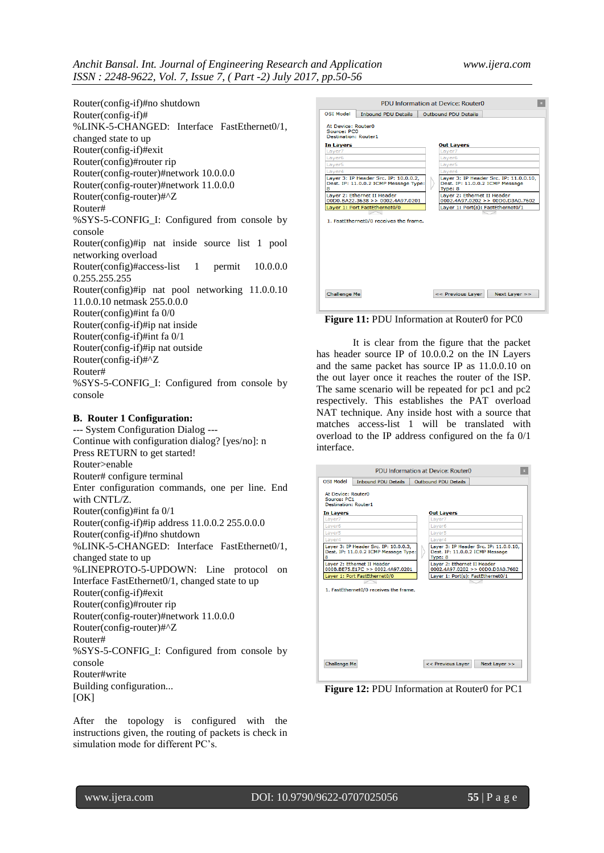Router(config-if)#no shutdown Router(config-if)# %LINK-5-CHANGED: Interface FastEthernet0/1, changed state to up Router(config-if)#exit Router(config)#router rip Router(config-router)#network 10.0.0.0 Router(config-router)#network 11.0.0.0 Router(config-router)#^Z Router# %SYS-5-CONFIG\_I: Configured from console by console Router(config)#ip nat inside source list 1 pool networking overload Router(config)#access-list 1 permit 10.0.0.0 0.255.255.255 Router(config)#ip nat pool networking 11.0.0.10 11.0.0.10 netmask 255.0.0.0 Router(config)#int fa 0/0 Router(config-if)#ip nat inside Router(config-if)#int fa 0/1 Router(config-if)#ip nat outside Router(config-if)#^Z Router# %SYS-5-CONFIG I: Configured from console by console

# **B. Router 1 Configuration:**

--- System Configuration Dialog --- Continue with configuration dialog? [yes/no]: n Press RETURN to get started! Router>enable Router# configure terminal Enter configuration commands, one per line. End with CNTL/Z. Router(config)#int fa 0/1 Router(config-if)#ip address 11.0.0.2 255.0.0.0 Router(config-if)#no shutdown %LINK-5-CHANGED: Interface FastEthernet0/1, changed state to up %LINEPROTO-5-UPDOWN: Line protocol on Interface FastEthernet0/1, changed state to up Router(config-if)#exit Router(config)#router rip Router(config-router)#network 11.0.0.0 Router(config-router)#^Z Router# %SYS-5-CONFIG\_I: Configured from console by console Router#write Building configuration...  $[OK]$ 

After the topology is configured with the instructions given, the routing of packets is check in simulation mode for different PC's.

| PDU Information at Device: Router0                                                  |                                                                                      |  |  |  |
|-------------------------------------------------------------------------------------|--------------------------------------------------------------------------------------|--|--|--|
| OST Model<br><b>Inbound PDU Details</b>                                             | Outhound PDU Details                                                                 |  |  |  |
| At Device: Router0<br>Source: PCD<br><b>Destination: Router1</b>                    |                                                                                      |  |  |  |
| <b>In Layers</b>                                                                    | <b>Out Layers</b>                                                                    |  |  |  |
| Laver7                                                                              | Laver7                                                                               |  |  |  |
| Layer6                                                                              | Layer <sub>6</sub>                                                                   |  |  |  |
| Laver <sub>5</sub>                                                                  | Laver <sub>5</sub>                                                                   |  |  |  |
| Laver4                                                                              | Layer4                                                                               |  |  |  |
| Layer 3: IP Header Src. IP: 10.0.0.2,<br>Dest. IP: 11.0.0.2 ICMP Message Type:<br>8 | Layer 3: IP Header Src. IP: 11.0.0.10,<br>Dest. IP: 11.0.0.2 ICMP Message<br>Type: 8 |  |  |  |
| Layer 2: Ethernet II Header<br>00D0.BA22.3638 >> 0002.4A97.0201                     | Layer 2: Ethernet II Header<br>0002.4A97.0202 >> 00D0.D3A0.7602                      |  |  |  |
| Layer 1: Port FastEthernet0/0                                                       | Layer 1: Port(s): FastEthernet0/1                                                    |  |  |  |
| 1. FastEthernet0/0 receives the frame.                                              |                                                                                      |  |  |  |
| Challenge Me                                                                        | << Previous Laver<br>Next Laver $>>$                                                 |  |  |  |

Figure 11: PDU Information at Router0 for PC0

It is clear from the figure that the packet has header source IP of 10.0.0.2 on the IN Layers and the same packet has source IP as 11.0.0.10 on the out layer once it reaches the router of the ISP. The same scenario will be repeated for pc1 and pc2 respectively. This establishes the PAT overload NAT technique. Any inside host with a source that matches access-list 1 will be translated with overload to the IP address configured on the fa 0/1 interface.

|                                                                  | PDU Information at Device: Router0<br>$\mathbf{x}$                             |  |                                                                                      |  |
|------------------------------------------------------------------|--------------------------------------------------------------------------------|--|--------------------------------------------------------------------------------------|--|
| <b>OSI Model</b>                                                 | <b>Inbound PDU Details</b>                                                     |  | Outbound PDU Details                                                                 |  |
| At Device: Router0<br>Source: PC1<br><b>Destination: Router1</b> |                                                                                |  |                                                                                      |  |
| In Layers                                                        |                                                                                |  | <b>Out Layers</b>                                                                    |  |
| Layer7                                                           |                                                                                |  | Laver7                                                                               |  |
| Laver <sub>6</sub>                                               |                                                                                |  | Laver <sub>6</sub>                                                                   |  |
| Laver <sub>5</sub>                                               |                                                                                |  | Laver <sub>5</sub>                                                                   |  |
| Laver4                                                           |                                                                                |  | Laver4                                                                               |  |
| 8                                                                | Laver 3: IP Header Src. IP: 10.0.0.3.<br>Dest. IP: 11.0.0.2 ICMP Message Type: |  | Laver 3: IP Header Src. IP: 11.0.0.10.<br>Dest. IP: 11.0.0.2 ICMP Message<br>Type: 8 |  |
|                                                                  | Laver 2: Ethernet II Header<br>000B.BE75.E17C >> 0002.4A97.0201                |  | Laver 2: Ethernet II Header<br>0002.4A97.0202 >> 00D0.D3A0.7602                      |  |
|                                                                  | Laver 1: Port FastEthernet0/0                                                  |  | Laver 1: Port(s): FastEthernet0/1                                                    |  |
|                                                                  | 1. FastEthernet0/0 receives the frame.                                         |  |                                                                                      |  |
| Challenge Me                                                     |                                                                                |  | << Previous Layer<br>Next Layer $>>$                                                 |  |

**Figure 12: PDU Information at Router0 for PC1**